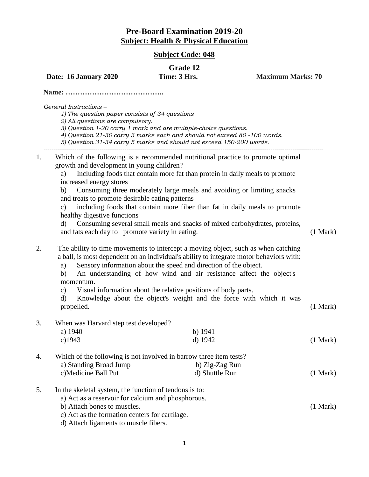## **Pre-Board Examination 2019-20 Subject: Health & Physical Education**

## **Subject Code: 048**

## **Grade 12**

(1 Mark)

**Date: 16 January 2020** Time: 3 Hrs. Maximum Marks: 70

**Name: …………………………………..**

*General Instructions* –

*1) The question paper consists of 34 questions*

*2) All questions are compulsory.*

*3) Question 1-20 carry 1 mark and are multiple-choice questions.*

*4) Question 21-30 carry 3 marks each and should not exceed 80 -100 words.*

*5) Question 31-34 carry 5 marks and should not exceed 150-200 words.*

1. Which of the following is a recommended nutritional practice to promote optimal growth and development in young children?

a) Including foods that contain more fat than protein in daily meals to promote increased energy stores

*-------------------------------------------------------------------------------------------------------------------------------------------------*

b) Consuming three moderately large meals and avoiding or limiting snacks and treats to promote desirable eating patterns

c) including foods that contain more fiber than fat in daily meals to promote healthy digestive functions

d) Consuming several small meals and snacks of mixed carbohydrates, proteins, and fats each day to promote variety in eating. (1 Mark)

2. The ability to time movements to intercept a moving object, such as when catching a ball, is most dependent on an individual's ability to integrate motor behaviors with:

a) Sensory information about the speed and direction of the object.

- b) An understanding of how wind and air resistance affect the object's momentum.
- c) Visual information about the relative positions of body parts.

| d) Knowledge about the object's weight and the force with which it was |  |  |  |  |  |          |
|------------------------------------------------------------------------|--|--|--|--|--|----------|
| propelled.                                                             |  |  |  |  |  | (1 Mark) |

3. When was Harvard step test developed?

| $\frac{1}{2}$ and $\frac{1}{2}$ and $\frac{1}{2}$ and $\frac{1}{2}$ are $\frac{1}{2}$ and $\frac{1}{2}$ are $\frac{1}{2}$ |           |          |
|---------------------------------------------------------------------------------------------------------------------------|-----------|----------|
| a) $1940$                                                                                                                 | b) $1941$ |          |
| c)1943                                                                                                                    | d) $1942$ | (1 Mark) |
|                                                                                                                           |           |          |

4. Which of the following is not involved in barrow three item tests? a) Standing Broad Jump b) Zig-Zag Run c)Medicine Ball Put d) Shuttle Run (1 Mark)

5. In the skeletal system, the function of tendons is to:

a) Act as a reservoir for calcium and phosphorous.

b) Attach bones to muscles.

c) Act as the formation centers for cartilage.

d) Attach ligaments to muscle fibers.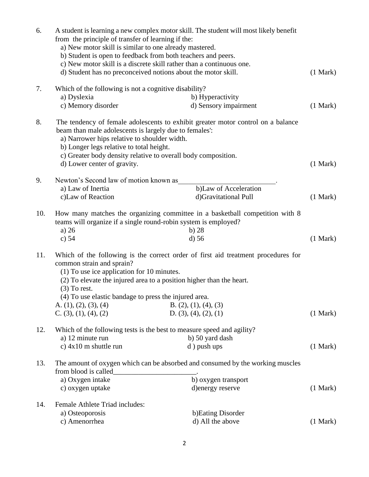| 6.  | from the principle of transfer of learning if the:<br>a) New motor skill is similar to one already mastered.<br>b) Student is open to feedback from both teachers and peers.<br>c) New motor skill is a discrete skill rather than a continuous one.<br>d) Student has no preconceived notions about the motor skill. | A student is learning a new complex motor skill. The student will most likely benefit                                                                     | (1 Mark) |  |  |  |  |
|-----|-----------------------------------------------------------------------------------------------------------------------------------------------------------------------------------------------------------------------------------------------------------------------------------------------------------------------|-----------------------------------------------------------------------------------------------------------------------------------------------------------|----------|--|--|--|--|
| 7.  | Which of the following is not a cognitive disability?<br>a) Dyslexia<br>c) Memory disorder                                                                                                                                                                                                                            | b) Hyperactivity<br>d) Sensory impairment                                                                                                                 | (1 Mark) |  |  |  |  |
| 8.  | beam than male adolescents is largely due to females':<br>a) Narrower hips relative to shoulder width.<br>b) Longer legs relative to total height.<br>c) Greater body density relative to overall body composition.<br>d) Lower center of gravity.                                                                    | The tendency of female adolescents to exhibit greater motor control on a balance                                                                          | (1 Mark) |  |  |  |  |
| 9.  | Newton's Second law of motion known as                                                                                                                                                                                                                                                                                |                                                                                                                                                           |          |  |  |  |  |
|     | a) Law of Inertia                                                                                                                                                                                                                                                                                                     | b)Law of Acceleration                                                                                                                                     |          |  |  |  |  |
|     | c)Law of Reaction                                                                                                                                                                                                                                                                                                     | d)Gravitational Pull                                                                                                                                      | (1 Mark) |  |  |  |  |
| 10. | teams will organize if a single round-robin system is employed?<br>a) $26$<br>c) $54$                                                                                                                                                                                                                                 | How many matches the organizing committee in a basketball competition with 8<br>$b)$ 28<br>$d$ ) 56                                                       | (1 Mark) |  |  |  |  |
| 11. | common strain and sprain?<br>$(1)$ To use ice application for 10 minutes.<br>(2) To elevate the injured area to a position higher than the heart.<br>$(3)$ To rest.<br>(4) To use elastic bandage to press the injured area.<br>A. $(1)$ , $(2)$ , $(3)$ , $(4)$<br>C. $(3)$ , $(1)$ , $(4)$ , $(2)$                  | Which of the following is the correct order of first aid treatment procedures for<br>B. $(2)$ , $(1)$ , $(4)$ , $(3)$<br>D. $(3)$ , $(4)$ , $(2)$ , $(1)$ | (1 Mark) |  |  |  |  |
|     |                                                                                                                                                                                                                                                                                                                       |                                                                                                                                                           |          |  |  |  |  |
| 12. | Which of the following tests is the best to measure speed and agility?<br>a) 12 minute run<br>b) 50 yard dash                                                                                                                                                                                                         |                                                                                                                                                           |          |  |  |  |  |
|     | c) $4x10$ m shuttle run                                                                                                                                                                                                                                                                                               | d) push ups                                                                                                                                               | (1 Mark) |  |  |  |  |
| 13. | from blood is called<br>a) Oxygen intake<br>c) oxygen uptake                                                                                                                                                                                                                                                          | The amount of oxygen which can be absorbed and consumed by the working muscles<br>b) oxygen transport<br>d) energy reserve                                | (1 Mark) |  |  |  |  |
| 14. | Female Athlete Triad includes:                                                                                                                                                                                                                                                                                        |                                                                                                                                                           |          |  |  |  |  |
|     | a) Osteoporosis                                                                                                                                                                                                                                                                                                       | b) Eating Disorder                                                                                                                                        |          |  |  |  |  |
|     | c) Amenorrhea                                                                                                                                                                                                                                                                                                         | d) All the above                                                                                                                                          | (1 Mark) |  |  |  |  |
|     |                                                                                                                                                                                                                                                                                                                       |                                                                                                                                                           |          |  |  |  |  |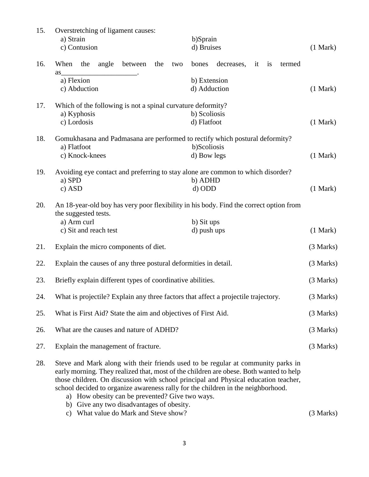| 15. | Overstretching of ligament causes:<br>a) Strain<br>c) Contusion                                                                                                                                                                                                                                                                                                                                          | b)Sprain<br>d) Bruises                               | (1 Mark) |  |  |  |  |
|-----|----------------------------------------------------------------------------------------------------------------------------------------------------------------------------------------------------------------------------------------------------------------------------------------------------------------------------------------------------------------------------------------------------------|------------------------------------------------------|----------|--|--|--|--|
| 16. | When the<br>between<br>angle<br>the<br>two                                                                                                                                                                                                                                                                                                                                                               | bones<br>decreases,<br>$\frac{1}{1}$<br>termed<br>it |          |  |  |  |  |
|     | as<br>a) Flexion                                                                                                                                                                                                                                                                                                                                                                                         |                                                      |          |  |  |  |  |
|     | c) Abduction                                                                                                                                                                                                                                                                                                                                                                                             | b) Extension<br>d) Adduction                         | (1 Mark) |  |  |  |  |
|     |                                                                                                                                                                                                                                                                                                                                                                                                          |                                                      |          |  |  |  |  |
| 17. | Which of the following is not a spinal curvature deformity?                                                                                                                                                                                                                                                                                                                                              |                                                      |          |  |  |  |  |
|     | a) Kyphosis                                                                                                                                                                                                                                                                                                                                                                                              | b) Scoliosis                                         |          |  |  |  |  |
|     | c) Lordosis                                                                                                                                                                                                                                                                                                                                                                                              | d) Flatfoot                                          | (1 Mark) |  |  |  |  |
| 18. | Gomukhasana and Padmasana are performed to rectify which postural deformity?                                                                                                                                                                                                                                                                                                                             |                                                      |          |  |  |  |  |
|     | a) Flatfoot                                                                                                                                                                                                                                                                                                                                                                                              | b)Scoliosis                                          |          |  |  |  |  |
|     | c) Knock-knees                                                                                                                                                                                                                                                                                                                                                                                           | d) Bow legs                                          | (1 Mark) |  |  |  |  |
| 19. | Avoiding eye contact and preferring to stay alone are common to which disorder?                                                                                                                                                                                                                                                                                                                          |                                                      |          |  |  |  |  |
|     | a) SPD                                                                                                                                                                                                                                                                                                                                                                                                   | b) ADHD                                              |          |  |  |  |  |
|     | c) ASD                                                                                                                                                                                                                                                                                                                                                                                                   | d) ODD                                               | (1 Mark) |  |  |  |  |
| 20. | An 18-year-old boy has very poor flexibility in his body. Find the correct option from<br>the suggested tests.                                                                                                                                                                                                                                                                                           |                                                      |          |  |  |  |  |
|     | a) Arm curl                                                                                                                                                                                                                                                                                                                                                                                              | b) Sit ups                                           |          |  |  |  |  |
|     | c) Sit and reach test                                                                                                                                                                                                                                                                                                                                                                                    | d) push ups                                          | (1 Mark) |  |  |  |  |
| 21. | Explain the micro components of diet.                                                                                                                                                                                                                                                                                                                                                                    |                                                      |          |  |  |  |  |
| 22. | Explain the causes of any three postural deformities in detail.                                                                                                                                                                                                                                                                                                                                          |                                                      |          |  |  |  |  |
| 23. | Briefly explain different types of coordinative abilities.                                                                                                                                                                                                                                                                                                                                               |                                                      |          |  |  |  |  |
| 24. | What is projectile? Explain any three factors that affect a projectile trajectory.                                                                                                                                                                                                                                                                                                                       |                                                      |          |  |  |  |  |
| 25. | What is First Aid? State the aim and objectives of First Aid.                                                                                                                                                                                                                                                                                                                                            |                                                      |          |  |  |  |  |
| 26. | What are the causes and nature of ADHD?                                                                                                                                                                                                                                                                                                                                                                  |                                                      |          |  |  |  |  |
| 27. | Explain the management of fracture.                                                                                                                                                                                                                                                                                                                                                                      |                                                      |          |  |  |  |  |
| 28. | Steve and Mark along with their friends used to be regular at community parks in<br>early morning. They realized that, most of the children are obese. Both wanted to help<br>those children. On discussion with school principal and Physical education teacher,<br>school decided to organize awareness rally for the children in the neighborhood.<br>a) How obesity can be prevented? Give two ways. |                                                      |          |  |  |  |  |

- b) Give any two disadvantages of obesity.
- c) What value do Mark and Steve show? (3 Marks)